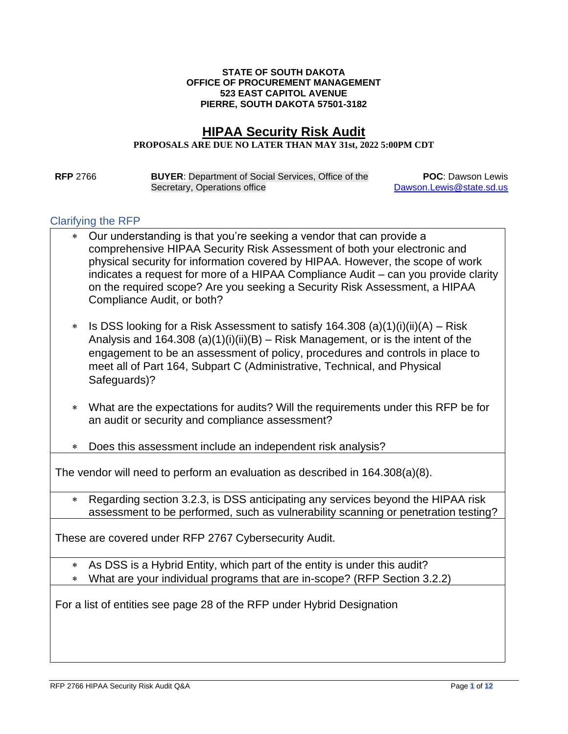#### **STATE OF SOUTH DAKOTA OFFICE OF PROCUREMENT MANAGEMENT 523 EAST CAPITOL AVENUE PIERRE, SOUTH DAKOTA 57501-3182**

# **HIPAA Security Risk Audit**

#### **PROPOSALS ARE DUE NO LATER THAN MAY 31st, 2022 5:00PM CDT**

**RFP** 2766 **BUYER**: Department of Social Services, Office of the Secretary, Operations office

**POC**: Dawson Lewis [Dawson.Lewis@state.sd.us](mailto:Dawson.Lewis@state.sd.us)

#### Clarifying the RFP

- Our understanding is that you're seeking a vendor that can provide a comprehensive HIPAA Security Risk Assessment of both your electronic and physical security for information covered by HIPAA. However, the scope of work indicates a request for more of a HIPAA Compliance Audit – can you provide clarity on the required scope? Are you seeking a Security Risk Assessment, a HIPAA Compliance Audit, or both?
- $\ast$  Is DSS looking for a Risk Assessment to satisfy 164.308 (a)(1)(i)(ii)(A) Risk Analysis and 164.308 (a)(1)(i)(ii)(B) – Risk Management, or is the intent of the engagement to be an assessment of policy, procedures and controls in place to meet all of Part 164, Subpart C (Administrative, Technical, and Physical Safeguards)?
- What are the expectations for audits? Will the requirements under this RFP be for an audit or security and compliance assessment?
- Does this assessment include an independent risk analysis?

The vendor will need to perform an evaluation as described in 164.308(a)(8).

 Regarding section 3.2.3, is DSS anticipating any services beyond the HIPAA risk assessment to be performed, such as vulnerability scanning or penetration testing?

These are covered under RFP 2767 Cybersecurity Audit.

- As DSS is a Hybrid Entity, which part of the entity is under this audit?
- What are your individual programs that are in-scope? (RFP Section 3.2.2)

For a list of entities see page 28 of the RFP under Hybrid Designation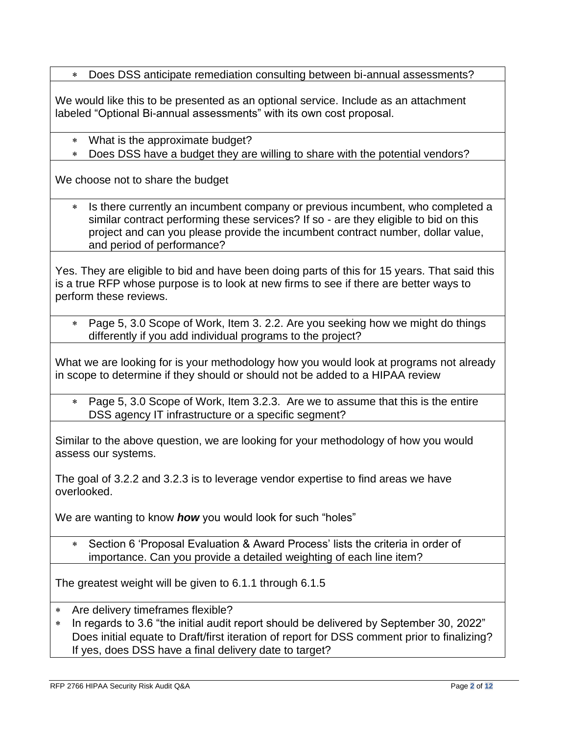Does DSS anticipate remediation consulting between bi-annual assessments?

We would like this to be presented as an optional service. Include as an attachment labeled "Optional Bi-annual assessments" with its own cost proposal.

- What is the approximate budget?
- Does DSS have a budget they are willing to share with the potential vendors?

We choose not to share the budget

 Is there currently an incumbent company or previous incumbent, who completed a similar contract performing these services? If so - are they eligible to bid on this project and can you please provide the incumbent contract number, dollar value, and period of performance?

Yes. They are eligible to bid and have been doing parts of this for 15 years. That said this is a true RFP whose purpose is to look at new firms to see if there are better ways to perform these reviews.

 Page 5, 3.0 Scope of Work, Item 3. 2.2. Are you seeking how we might do things differently if you add individual programs to the project?

What we are looking for is your methodology how you would look at programs not already in scope to determine if they should or should not be added to a HIPAA review

 Page 5, 3.0 Scope of Work, Item 3.2.3. Are we to assume that this is the entire DSS agency IT infrastructure or a specific segment?

Similar to the above question, we are looking for your methodology of how you would assess our systems.

The goal of 3.2.2 and 3.2.3 is to leverage vendor expertise to find areas we have overlooked.

We are wanting to know *how* you would look for such "holes"

 Section 6 'Proposal Evaluation & Award Process' lists the criteria in order of importance. Can you provide a detailed weighting of each line item?

The greatest weight will be given to 6.1.1 through 6.1.5

- Are delivery timeframes flexible?
- \* In regards to 3.6 "the initial audit report should be delivered by September 30, 2022" Does initial equate to Draft/first iteration of report for DSS comment prior to finalizing? If yes, does DSS have a final delivery date to target?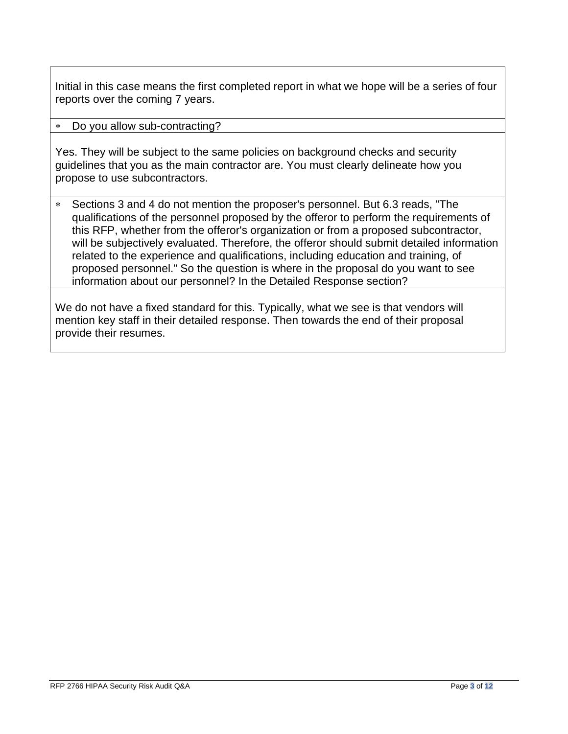Initial in this case means the first completed report in what we hope will be a series of four reports over the coming 7 years.

### Do you allow sub-contracting?

Yes. They will be subject to the same policies on background checks and security guidelines that you as the main contractor are. You must clearly delineate how you propose to use subcontractors.

 Sections 3 and 4 do not mention the proposer's personnel. But 6.3 reads, "The qualifications of the personnel proposed by the offeror to perform the requirements of this RFP, whether from the offeror's organization or from a proposed subcontractor, will be subjectively evaluated. Therefore, the offeror should submit detailed information related to the experience and qualifications, including education and training, of proposed personnel." So the question is where in the proposal do you want to see information about our personnel? In the Detailed Response section?

We do not have a fixed standard for this. Typically, what we see is that vendors will mention key staff in their detailed response. Then towards the end of their proposal provide their resumes.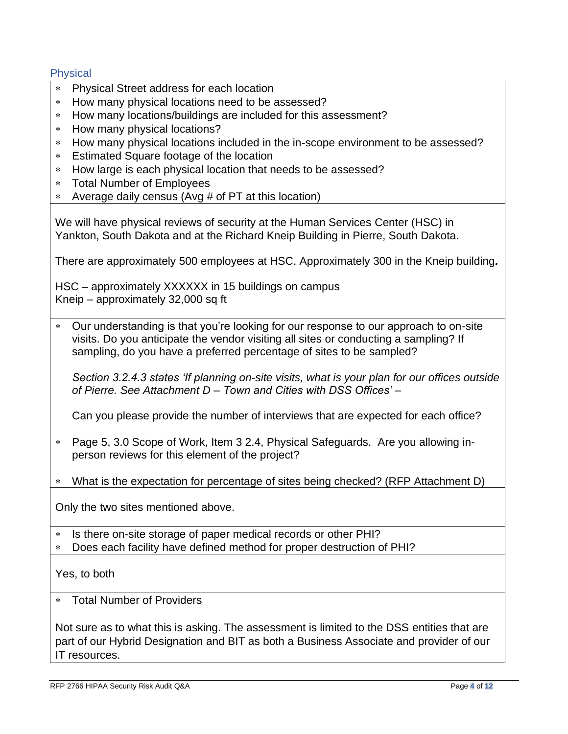## **Physical**

- Physical Street address for each location
- How many physical locations need to be assessed?
- How many locations/buildings are included for this assessment?
- \* How many physical locations?
- How many physical locations included in the in-scope environment to be assessed?
- Estimated Square footage of the location
- How large is each physical location that needs to be assessed?
- Total Number of Employees
- Average daily census (Avg # of PT at this location)

We will have physical reviews of security at the Human Services Center (HSC) in Yankton, South Dakota and at the Richard Kneip Building in Pierre, South Dakota.

There are approximately 500 employees at HSC. Approximately 300 in the Kneip building*.*

HSC – approximately XXXXXX in 15 buildings on campus Kneip – approximately 32,000 sq ft

 Our understanding is that you're looking for our response to our approach to on-site visits. Do you anticipate the vendor visiting all sites or conducting a sampling? If sampling, do you have a preferred percentage of sites to be sampled?

*Section 3.2.4.3 states 'If planning on-site visits, what is your plan for our offices outside of Pierre. See Attachment D – Town and Cities with DSS Offices' –*

Can you please provide the number of interviews that are expected for each office?

- Page 5, 3.0 Scope of Work, Item 3 2.4, Physical Safeguards. Are you allowing inperson reviews for this element of the project?
- What is the expectation for percentage of sites being checked? (RFP Attachment D)

Only the two sites mentioned above.

- \* Is there on-site storage of paper medical records or other PHI?
- Does each facility have defined method for proper destruction of PHI?

Yes, to both

Total Number of Providers

Not sure as to what this is asking. The assessment is limited to the DSS entities that are part of our Hybrid Designation and BIT as both a Business Associate and provider of our IT resources.

RFP 2766 HIPAA Security Risk Audit Q&A Page **4** of **12**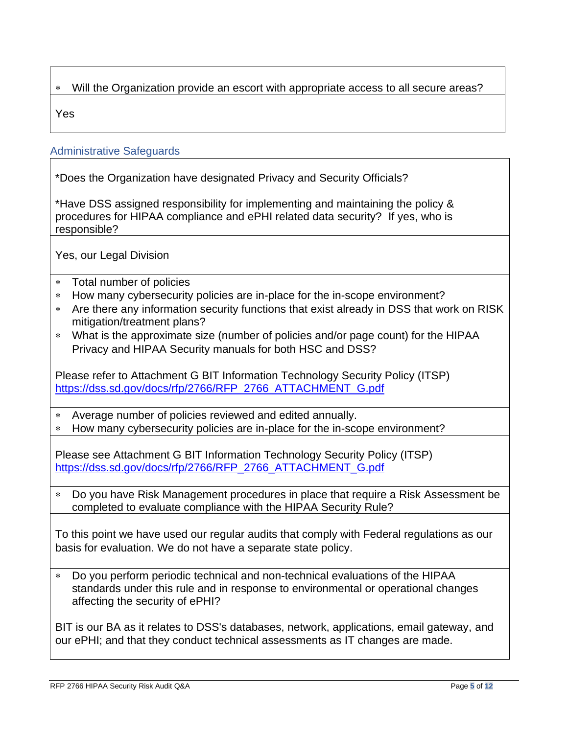# Will the Organization provide an escort with appropriate access to all secure areas?

Yes

## Administrative Safeguards

\*Does the Organization have designated Privacy and Security Officials?

\*Have DSS assigned responsibility for implementing and maintaining the policy & procedures for HIPAA compliance and ePHI related data security? If yes, who is responsible?

Yes, our Legal Division

- Total number of policies
- How many cybersecurity policies are in-place for the in-scope environment?
- Are there any information security functions that exist already in DSS that work on RISK mitigation/treatment plans?
- What is the approximate size (number of policies and/or page count) for the HIPAA Privacy and HIPAA Security manuals for both HSC and DSS?

Please refer to Attachment G BIT Information Technology Security Policy (ITSP) [https://dss.sd.gov/docs/rfp/2766/RFP\\_2766\\_ATTACHMENT\\_G.pdf](https://dss.sd.gov/docs/rfp/2766/RFP_2766_ATTACHMENT_G.pdf)

Average number of policies reviewed and edited annually.

How many cybersecurity policies are in-place for the in-scope environment?

Please see Attachment G BIT Information Technology Security Policy (ITSP) [https://dss.sd.gov/docs/rfp/2766/RFP\\_2766\\_ATTACHMENT\\_G.pdf](https://dss.sd.gov/docs/rfp/2766/RFP_2766_ATTACHMENT_G.pdf)

 Do you have Risk Management procedures in place that require a Risk Assessment be completed to evaluate compliance with the HIPAA Security Rule?

To this point we have used our regular audits that comply with Federal regulations as our basis for evaluation. We do not have a separate state policy.

 Do you perform periodic technical and non-technical evaluations of the HIPAA standards under this rule and in response to environmental or operational changes affecting the security of ePHI?

BIT is our BA as it relates to DSS's databases, network, applications, email gateway, and our ePHI; and that they conduct technical assessments as IT changes are made.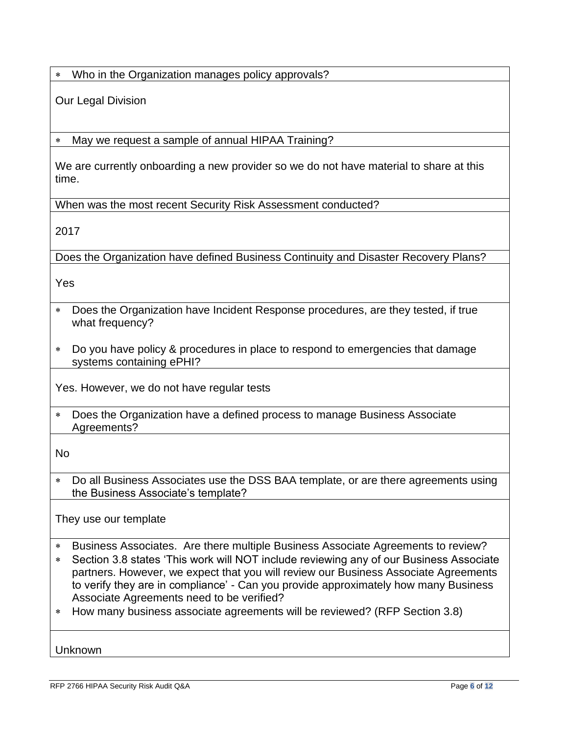Who in the Organization manages policy approvals?

Our Legal Division

May we request a sample of annual HIPAA Training?

We are currently onboarding a new provider so we do not have material to share at this time.

When was the most recent Security Risk Assessment conducted?

2017

Does the Organization have defined Business Continuity and Disaster Recovery Plans?

Yes

- Does the Organization have Incident Response procedures, are they tested, if true what frequency?
- Do you have policy & procedures in place to respond to emergencies that damage systems containing ePHI?

Yes. However, we do not have regular tests

 Does the Organization have a defined process to manage Business Associate Agreements?

No

 Do all Business Associates use the DSS BAA template, or are there agreements using the Business Associate's template?

They use our template

- Business Associates. Are there multiple Business Associate Agreements to review?
- Section 3.8 states 'This work will NOT include reviewing any of our Business Associate partners. However, we expect that you will review our Business Associate Agreements to verify they are in compliance' - Can you provide approximately how many Business Associate Agreements need to be verified?
- How many business associate agreements will be reviewed? (RFP Section 3.8)

Unknown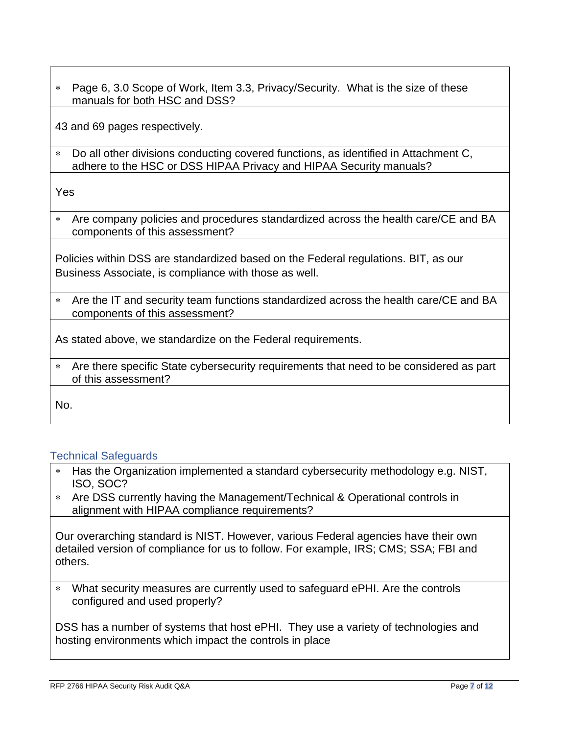Page 6, 3.0 Scope of Work, Item 3.3, Privacy/Security. What is the size of these manuals for both HSC and DSS?

43 and 69 pages respectively.

 Do all other divisions conducting covered functions, as identified in Attachment C, adhere to the HSC or DSS HIPAA Privacy and HIPAA Security manuals?

Yes

 Are company policies and procedures standardized across the health care/CE and BA components of this assessment?

Policies within DSS are standardized based on the Federal regulations. BIT, as our Business Associate, is compliance with those as well.

 Are the IT and security team functions standardized across the health care/CE and BA components of this assessment?

As stated above, we standardize on the Federal requirements.

 Are there specific State cybersecurity requirements that need to be considered as part of this assessment?

No.

## Technical Safeguards

- Has the Organization implemented a standard cybersecurity methodology e.g. NIST, ISO, SOC?
- Are DSS currently having the Management/Technical & Operational controls in alignment with HIPAA compliance requirements?

Our overarching standard is NIST. However, various Federal agencies have their own detailed version of compliance for us to follow. For example, IRS; CMS; SSA; FBI and others.

 What security measures are currently used to safeguard ePHI. Are the controls configured and used properly?

DSS has a number of systems that host ePHI. They use a variety of technologies and hosting environments which impact the controls in place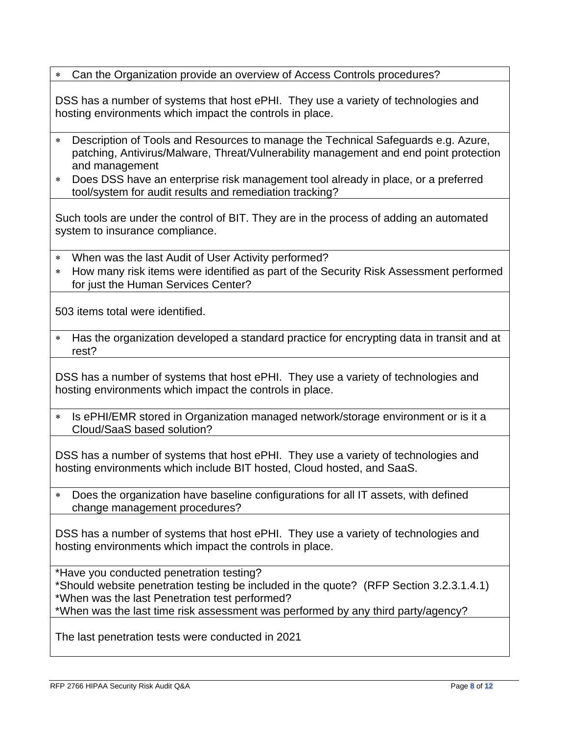Can the Organization provide an overview of Access Controls procedures?

DSS has a number of systems that host ePHI. They use a variety of technologies and hosting environments which impact the controls in place.

- Description of Tools and Resources to manage the Technical Safeguards e.g. Azure, patching, Antivirus/Malware, Threat/Vulnerability management and end point protection and management
- Does DSS have an enterprise risk management tool already in place, or a preferred tool/system for audit results and remediation tracking?

Such tools are under the control of BIT. They are in the process of adding an automated system to insurance compliance.

- When was the last Audit of User Activity performed?
- How many risk items were identified as part of the Security Risk Assessment performed for just the Human Services Center?

503 items total were identified.

 Has the organization developed a standard practice for encrypting data in transit and at rest?

DSS has a number of systems that host ePHI. They use a variety of technologies and hosting environments which impact the controls in place.

\* Is ePHI/EMR stored in Organization managed network/storage environment or is it a Cloud/SaaS based solution?

DSS has a number of systems that host ePHI. They use a variety of technologies and hosting environments which include BIT hosted, Cloud hosted, and SaaS.

 Does the organization have baseline configurations for all IT assets, with defined change management procedures?

DSS has a number of systems that host ePHI. They use a variety of technologies and hosting environments which impact the controls in place.

\*Have you conducted penetration testing? \*Should website penetration testing be included in the quote? (RFP Section 3.2.3.1.4.1) \*When was the last Penetration test performed? \*When was the last time risk assessment was performed by any third party/agency?

The last penetration tests were conducted in 2021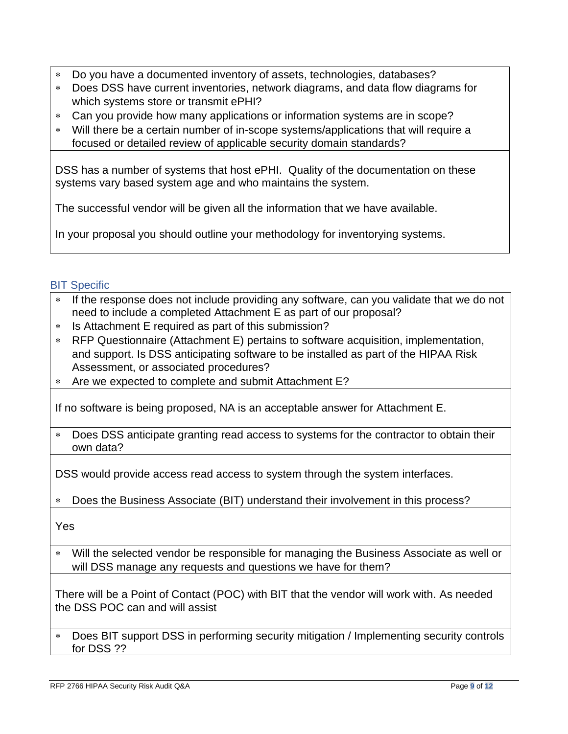- Do you have a documented inventory of assets, technologies, databases?
- Does DSS have current inventories, network diagrams, and data flow diagrams for which systems store or transmit ePHI?
- Can you provide how many applications or information systems are in scope?
- Will there be a certain number of in-scope systems/applications that will require a focused or detailed review of applicable security domain standards?

DSS has a number of systems that host ePHI. Quality of the documentation on these systems vary based system age and who maintains the system.

The successful vendor will be given all the information that we have available.

In your proposal you should outline your methodology for inventorying systems.

## **BIT Specific**

- \* If the response does not include providing any software, can you validate that we do not need to include a completed Attachment E as part of our proposal?
- \* Is Attachment E required as part of this submission?
- RFP Questionnaire (Attachment E) pertains to software acquisition, implementation, and support. Is DSS anticipating software to be installed as part of the HIPAA Risk Assessment, or associated procedures?
- Are we expected to complete and submit Attachment E?

If no software is being proposed, NA is an acceptable answer for Attachment E.

 Does DSS anticipate granting read access to systems for the contractor to obtain their own data?

DSS would provide access read access to system through the system interfaces.

Does the Business Associate (BIT) understand their involvement in this process?

Yes

 Will the selected vendor be responsible for managing the Business Associate as well or will DSS manage any requests and questions we have for them?

There will be a Point of Contact (POC) with BIT that the vendor will work with. As needed the DSS POC can and will assist

 Does BIT support DSS in performing security mitigation / Implementing security controls for DSS ??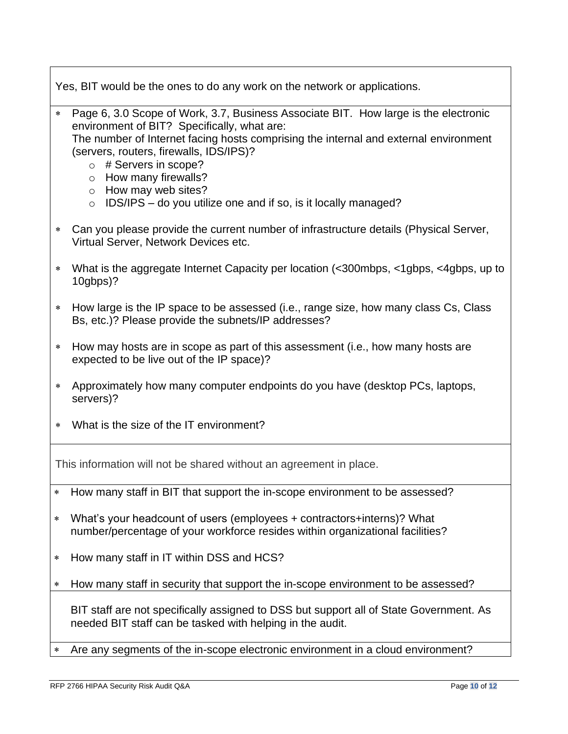Yes, BIT would be the ones to do any work on the network or applications.

- Page 6, 3.0 Scope of Work, 3.7, Business Associate BIT. How large is the electronic environment of BIT? Specifically, what are: The number of Internet facing hosts comprising the internal and external environment (servers, routers, firewalls, IDS/IPS)?
	- o # Servers in scope?
	- o How many firewalls?
	- o How may web sites?
	- $\circ$  IDS/IPS do you utilize one and if so, is it locally managed?
- Can you please provide the current number of infrastructure details (Physical Server, Virtual Server, Network Devices etc.
- What is the aggregate Internet Capacity per location (<300mbps, <1gbps, <4gbps, up to 10gbps)?
- How large is the IP space to be assessed (i.e., range size, how many class Cs, Class Bs, etc.)? Please provide the subnets/IP addresses?
- How may hosts are in scope as part of this assessment (i.e., how many hosts are expected to be live out of the IP space)?
- Approximately how many computer endpoints do you have (desktop PCs, laptops, servers)?
- What is the size of the IT environment?

This information will not be shared without an agreement in place.

- How many staff in BIT that support the in-scope environment to be assessed?
- What's your headcount of users (employees + contractors+interns)? What number/percentage of your workforce resides within organizational facilities?
- \* How many staff in IT within DSS and HCS?
- How many staff in security that support the in-scope environment to be assessed?

BIT staff are not specifically assigned to DSS but support all of State Government. As needed BIT staff can be tasked with helping in the audit.

Are any segments of the in-scope electronic environment in a cloud environment?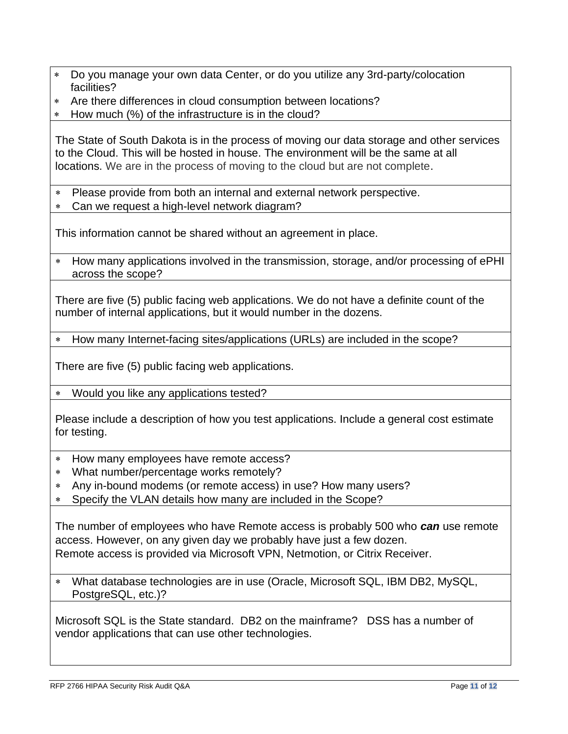- Do you manage your own data Center, or do you utilize any 3rd-party/colocation facilities?
- Are there differences in cloud consumption between locations?
- \* How much (%) of the infrastructure is in the cloud?

The State of South Dakota is in the process of moving our data storage and other services to the Cloud. This will be hosted in house. The environment will be the same at all locations. We are in the process of moving to the cloud but are not complete.

- Please provide from both an internal and external network perspective.
- Can we request a high-level network diagram?

This information cannot be shared without an agreement in place.

 How many applications involved in the transmission, storage, and/or processing of ePHI across the scope?

There are five (5) public facing web applications. We do not have a definite count of the number of internal applications, but it would number in the dozens.

How many Internet-facing sites/applications (URLs) are included in the scope?

There are five (5) public facing web applications.

Would you like any applications tested?

Please include a description of how you test applications. Include a general cost estimate for testing.

- How many employees have remote access?
- What number/percentage works remotely?
- Any in-bound modems (or remote access) in use? How many users?
- Specify the VLAN details how many are included in the Scope?

The number of employees who have Remote access is probably 500 who *can* use remote access. However, on any given day we probably have just a few dozen. Remote access is provided via Microsoft VPN, Netmotion, or Citrix Receiver.

 What database technologies are in use (Oracle, Microsoft SQL, IBM DB2, MySQL, PostgreSQL, etc.)?

Microsoft SQL is the State standard. DB2 on the mainframe? DSS has a number of vendor applications that can use other technologies.